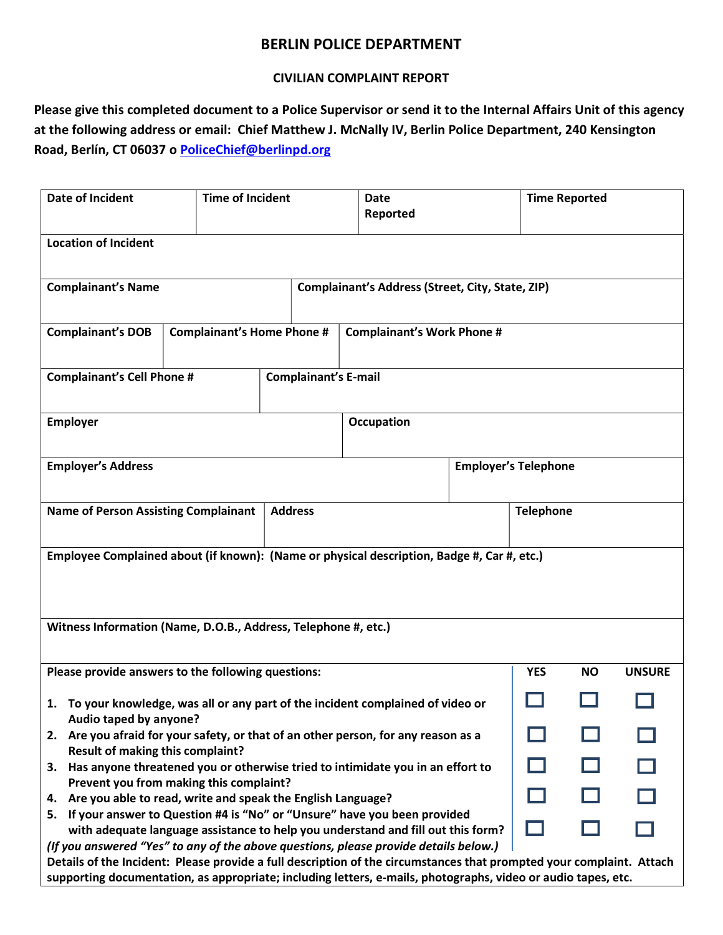## BERLIN POLICE DEPARTMENT

## CIVILIAN COMPLAINT REPORT

Please give this completed document to a Police Supervisor or send it to the Internal Affairs Unit of this agency at the following address or email: Chief Matthew J. McNally IV, Berlin Police Department, 240 Kensington Road, Berlín, CT 06037 o PoliceChief@berlinpd.org

| <b>Date of Incident</b><br><b>Time of Incident</b>                                                                                                                                                                                                                                                                            |  |                             | <b>Date</b><br>Reported           |  |                  | <b>Time Reported</b> |               |  |  |
|-------------------------------------------------------------------------------------------------------------------------------------------------------------------------------------------------------------------------------------------------------------------------------------------------------------------------------|--|-----------------------------|-----------------------------------|--|------------------|----------------------|---------------|--|--|
| <b>Location of Incident</b>                                                                                                                                                                                                                                                                                                   |  |                             |                                   |  |                  |                      |               |  |  |
| <b>Complainant's Name</b><br>Complainant's Address (Street, City, State, ZIP)                                                                                                                                                                                                                                                 |  |                             |                                   |  |                  |                      |               |  |  |
| <b>Complainant's DOB</b><br><b>Complainant's Home Phone #</b>                                                                                                                                                                                                                                                                 |  |                             | <b>Complainant's Work Phone #</b> |  |                  |                      |               |  |  |
| <b>Complainant's Cell Phone #</b><br><b>Complainant's E-mail</b>                                                                                                                                                                                                                                                              |  |                             |                                   |  |                  |                      |               |  |  |
| <b>Employer</b>                                                                                                                                                                                                                                                                                                               |  |                             | Occupation                        |  |                  |                      |               |  |  |
| <b>Employer's Address</b>                                                                                                                                                                                                                                                                                                     |  | <b>Employer's Telephone</b> |                                   |  |                  |                      |               |  |  |
| <b>Name of Person Assisting Complainant</b>                                                                                                                                                                                                                                                                                   |  | <b>Address</b>              |                                   |  | <b>Telephone</b> |                      |               |  |  |
| Employee Complained about (if known): (Name or physical description, Badge #, Car #, etc.)                                                                                                                                                                                                                                    |  |                             |                                   |  |                  |                      |               |  |  |
| Witness Information (Name, D.O.B., Address, Telephone #, etc.)                                                                                                                                                                                                                                                                |  |                             |                                   |  |                  |                      |               |  |  |
| Please provide answers to the following questions:                                                                                                                                                                                                                                                                            |  |                             |                                   |  |                  | <b>NO</b>            | <b>UNSURE</b> |  |  |
| 1. To your knowledge, was all or any part of the incident complained of video or<br>Audio taped by anyone?                                                                                                                                                                                                                    |  |                             |                                   |  |                  |                      |               |  |  |
| 2. Are you afraid for your safety, or that of an other person, for any reason as a<br><b>Result of making this complaint?</b>                                                                                                                                                                                                 |  |                             |                                   |  |                  |                      |               |  |  |
| Has anyone threatened you or otherwise tried to intimidate you in an effort to<br>З.                                                                                                                                                                                                                                          |  |                             |                                   |  |                  |                      |               |  |  |
| Prevent you from making this complaint?<br>Are you able to read, write and speak the English Language?<br>4.                                                                                                                                                                                                                  |  |                             |                                   |  |                  |                      |               |  |  |
| 5. If your answer to Question #4 is "No" or "Unsure" have you been provided<br>with adequate language assistance to help you understand and fill out this form?                                                                                                                                                               |  |                             |                                   |  |                  |                      |               |  |  |
| (If you answered "Yes" to any of the above questions, please provide details below.)<br>Details of the Incident: Please provide a full description of the circumstances that prompted your complaint. Attach<br>supporting documentation, as appropriate; including letters, e-mails, photographs, video or audio tapes, etc. |  |                             |                                   |  |                  |                      |               |  |  |